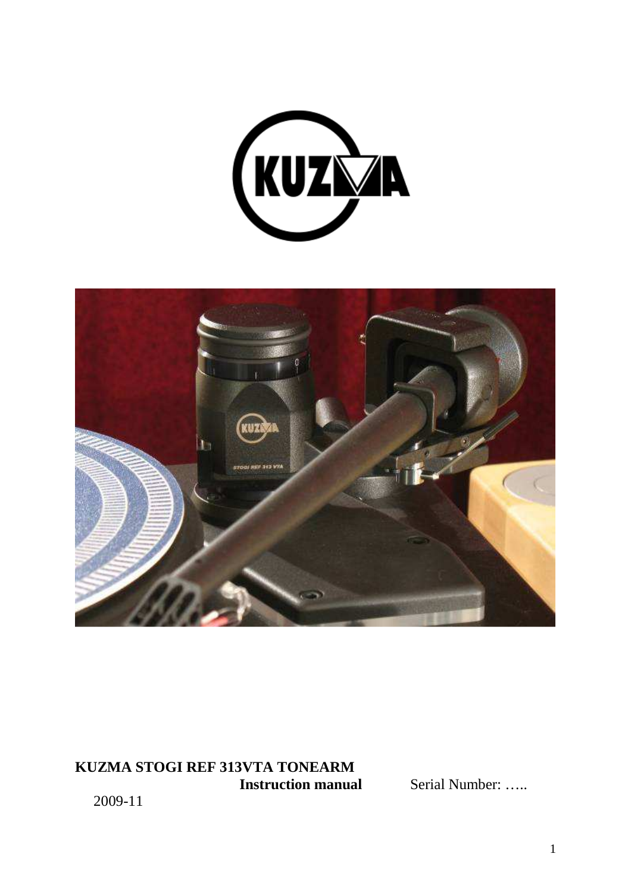



# **KUZMA STOGI REF 313VTA TONEARM**

**Serial Number: …..** 

2009-11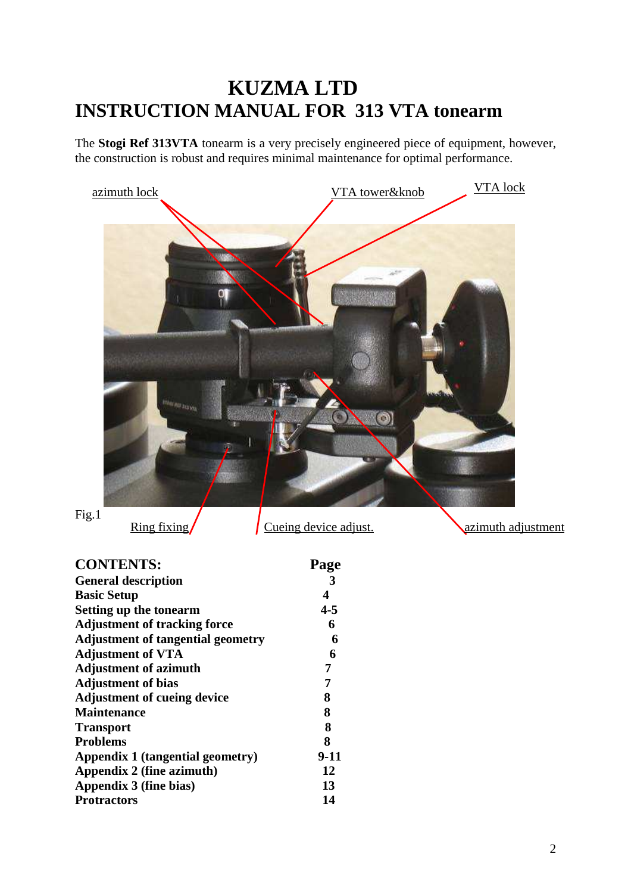# **KUZMA LTD INSTRUCTION MANUAL FOR 313 VTA tonearm**

The **Stogi Ref 313VTA** tonearm is a very precisely engineered piece of equipment, however, the construction is robust and requires minimal maintenance for optimal performance.



 $\frac{\text{Ring fixing}}{\text{Cueing device adjust}}$ 

| <b>CONTENTS:</b>                         | Page    |
|------------------------------------------|---------|
| <b>General description</b>               | -3      |
| <b>Basic Setup</b>                       | 4       |
| Setting up the tonearm                   | $4 - 5$ |
| <b>Adjustment of tracking force</b>      | 6       |
| <b>Adjustment of tangential geometry</b> | 6       |
| <b>Adjustment of VTA</b>                 | 6       |
| <b>Adjustment of azimuth</b>             | 7       |
| <b>Adjustment of bias</b>                | 7       |
| <b>Adjustment of cueing device</b>       | 8       |
| <b>Maintenance</b>                       | 8       |
| <b>Transport</b>                         | 8       |
| <b>Problems</b>                          | 8       |
| Appendix 1 (tangential geometry)         | $9-11$  |
| Appendix 2 (fine azimuth)                | 12      |
| Appendix 3 (fine bias)                   | 13      |
| <b>Protractors</b>                       | 14      |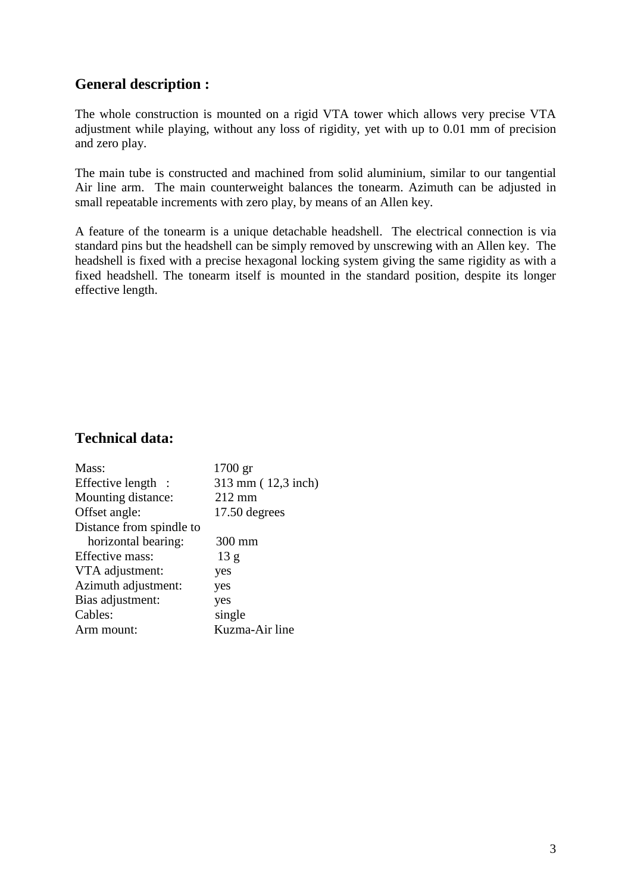# **General description :**

The whole construction is mounted on a rigid VTA tower which allows very precise VTA adjustment while playing, without any loss of rigidity, yet with up to 0.01 mm of precision and zero play.

The main tube is constructed and machined from solid aluminium, similar to our tangential Air line arm. The main counterweight balances the tonearm. Azimuth can be adjusted in small repeatable increments with zero play, by means of an Allen key.

A feature of the tonearm is a unique detachable headshell. The electrical connection is via standard pins but the headshell can be simply removed by unscrewing with an Allen key. The headshell is fixed with a precise hexagonal locking system giving the same rigidity as with a fixed headshell. The tonearm itself is mounted in the standard position, despite its longer effective length.

# **Technical data:**

| Mass:                    | 1700 gr            |
|--------------------------|--------------------|
| Effective length :       | 313 mm (12,3 inch) |
| Mounting distance:       | $212 \text{ mm}$   |
| Offset angle:            | 17.50 degrees      |
| Distance from spindle to |                    |
| horizontal bearing:      | 300 mm             |
| Effective mass:          | 13 g               |
| VTA adjustment:          | yes                |
| Azimuth adjustment:      | yes                |
| Bias adjustment:         | yes                |
| Cables:                  | single             |
| Arm mount:               | Kuzma-Air line     |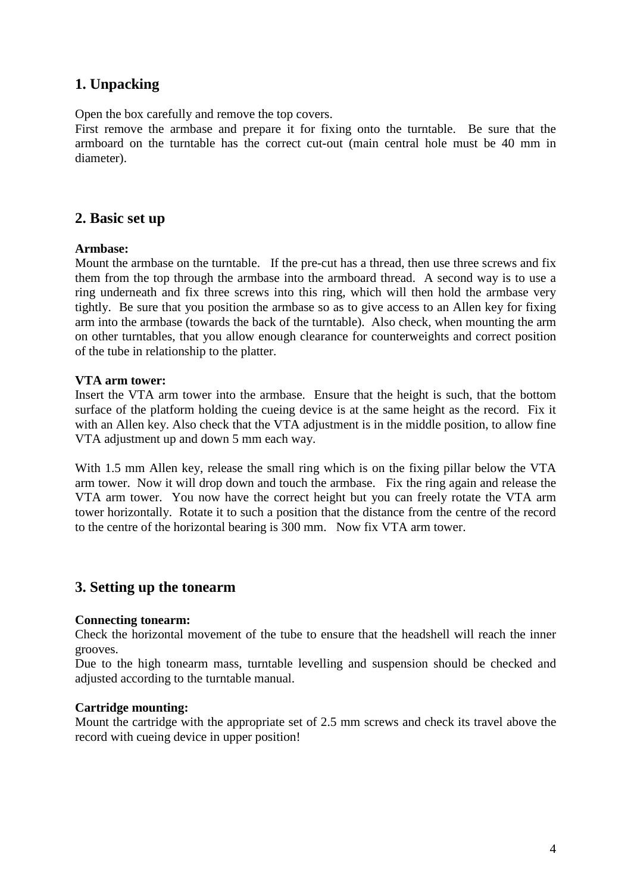# **1. Unpacking**

Open the box carefully and remove the top covers.

First remove the armbase and prepare it for fixing onto the turntable. Be sure that the armboard on the turntable has the correct cut-out (main central hole must be 40 mm in diameter).

#### **2. Basic set up**

#### **Armbase:**

Mount the armbase on the turntable. If the pre-cut has a thread, then use three screws and fix them from the top through the armbase into the armboard thread. A second way is to use a ring underneath and fix three screws into this ring, which will then hold the armbase very tightly. Be sure that you position the armbase so as to give access to an Allen key for fixing arm into the armbase (towards the back of the turntable). Also check, when mounting the arm on other turntables, that you allow enough clearance for counterweights and correct position of the tube in relationship to the platter.

#### **VTA arm tower:**

Insert the VTA arm tower into the armbase. Ensure that the height is such, that the bottom surface of the platform holding the cueing device is at the same height as the record. Fix it with an Allen key. Also check that the VTA adjustment is in the middle position, to allow fine VTA adjustment up and down 5 mm each way.

With 1.5 mm Allen key, release the small ring which is on the fixing pillar below the VTA arm tower. Now it will drop down and touch the armbase. Fix the ring again and release the VTA arm tower. You now have the correct height but you can freely rotate the VTA arm tower horizontally. Rotate it to such a position that the distance from the centre of the record to the centre of the horizontal bearing is 300 mm. Now fix VTA arm tower.

#### **3. Setting up the tonearm**

#### **Connecting tonearm:**

Check the horizontal movement of the tube to ensure that the headshell will reach the inner grooves.

Due to the high tonearm mass, turntable levelling and suspension should be checked and adjusted according to the turntable manual.

#### **Cartridge mounting:**

Mount the cartridge with the appropriate set of 2.5 mm screws and check its travel above the record with cueing device in upper position!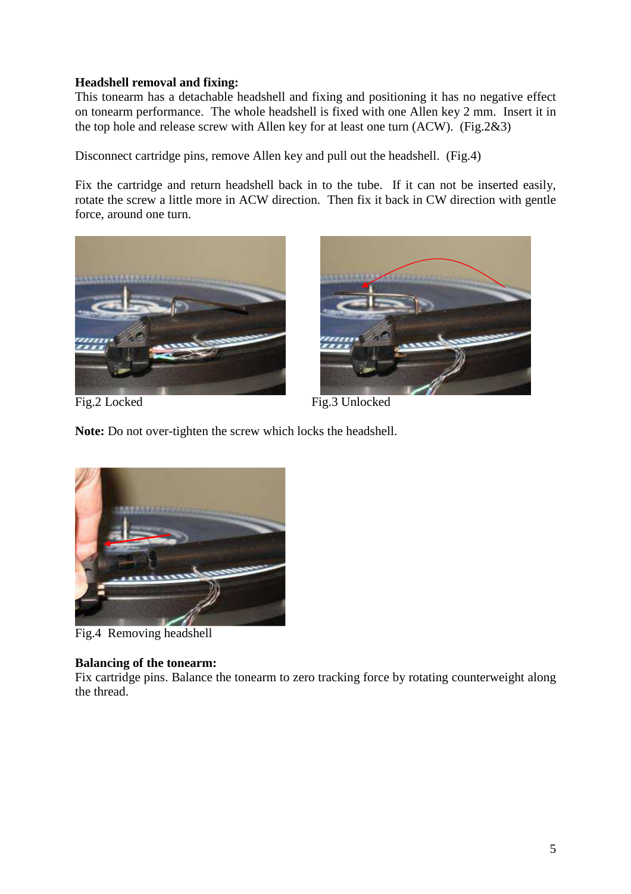#### **Headshell removal and fixing:**

This tonearm has a detachable headshell and fixing and positioning it has no negative effect on tonearm performance. The whole headshell is fixed with one Allen key 2 mm. Insert it in the top hole and release screw with Allen key for at least one turn (ACW). (Fig.2&3)

Disconnect cartridge pins, remove Allen key and pull out the headshell. (Fig.4)

Fix the cartridge and return headshell back in to the tube. If it can not be inserted easily, rotate the screw a little more in ACW direction. Then fix it back in CW direction with gentle force, around one turn.





Fig.2 Locked Fig.3 Unlocked

**Note:** Do not over-tighten the screw which locks the headshell.



Fig.4 Removing headshell

#### **Balancing of the tonearm:**

Fix cartridge pins. Balance the tonearm to zero tracking force by rotating counterweight along the thread.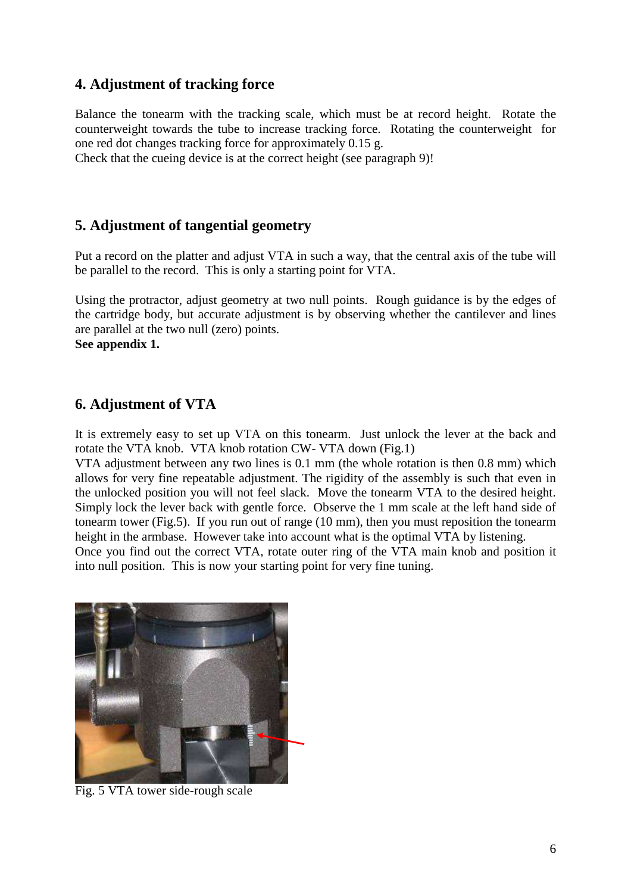# **4. Adjustment of tracking force**

Balance the tonearm with the tracking scale, which must be at record height. Rotate the counterweight towards the tube to increase tracking force. Rotating the counterweight for one red dot changes tracking force for approximately 0.15 g.

Check that the cueing device is at the correct height (see paragraph 9)!

#### **5. Adjustment of tangential geometry**

Put a record on the platter and adjust VTA in such a way, that the central axis of the tube will be parallel to the record. This is only a starting point for VTA.

Using the protractor, adjust geometry at two null points. Rough guidance is by the edges of the cartridge body, but accurate adjustment is by observing whether the cantilever and lines are parallel at the two null (zero) points.

**See appendix 1.** 

#### **6. Adjustment of VTA**

It is extremely easy to set up VTA on this tonearm. Just unlock the lever at the back and rotate the VTA knob. VTA knob rotation CW- VTA down (Fig.1)

VTA adjustment between any two lines is 0.1 mm (the whole rotation is then 0.8 mm) which allows for very fine repeatable adjustment. The rigidity of the assembly is such that even in the unlocked position you will not feel slack. Move the tonearm VTA to the desired height. Simply lock the lever back with gentle force. Observe the 1 mm scale at the left hand side of tonearm tower (Fig.5). If you run out of range (10 mm), then you must reposition the tonearm height in the armbase. However take into account what is the optimal VTA by listening.

Once you find out the correct VTA, rotate outer ring of the VTA main knob and position it into null position. This is now your starting point for very fine tuning.



Fig. 5 VTA tower side-rough scale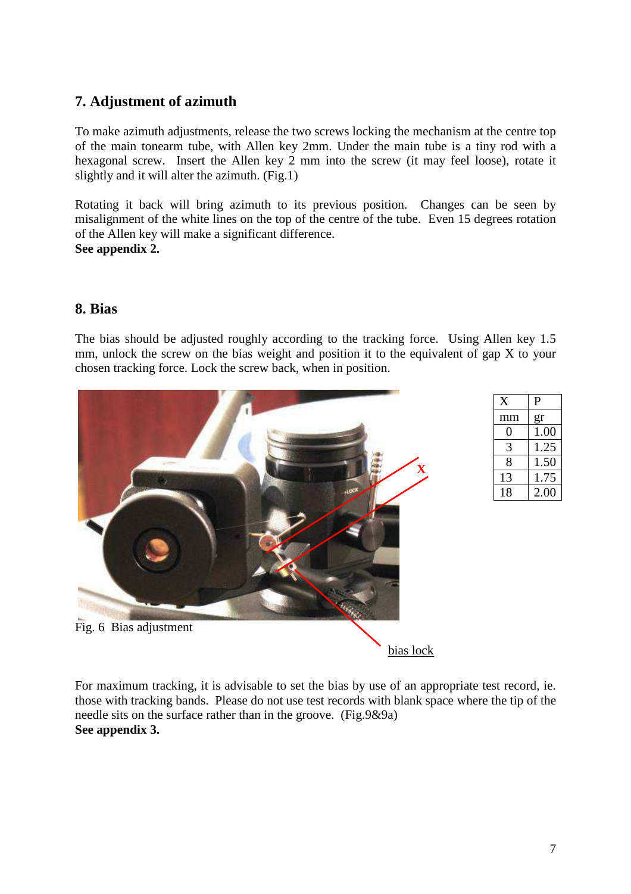# **7. Adjustment of azimuth**

To make azimuth adjustments, release the two screws locking the mechanism at the centre top of the main tonearm tube, with Allen key 2mm. Under the main tube is a tiny rod with a hexagonal screw. Insert the Allen key 2 mm into the screw (it may feel loose), rotate it slightly and it will alter the azimuth. (Fig.1)

Rotating it back will bring azimuth to its previous position. Changes can be seen by misalignment of the white lines on the top of the centre of the tube. Even 15 degrees rotation of the Allen key will make a significant difference. **See appendix 2.** 

**8. Bias** 

The bias should be adjusted roughly according to the tracking force. Using Allen key 1.5 mm, unlock the screw on the bias weight and position it to the equivalent of gap X to your chosen tracking force. Lock the screw back, when in position.



| X  | P    |
|----|------|
| mm | gr   |
|    | 1.00 |
| 3  | 1.25 |
| 8  | 1.50 |
| 13 | 1.75 |
| 18 | 2.00 |

bias lock

For maximum tracking, it is advisable to set the bias by use of an appropriate test record, ie. those with tracking bands. Please do not use test records with blank space where the tip of the needle sits on the surface rather than in the groove. (Fig.9&9a) **See appendix 3.**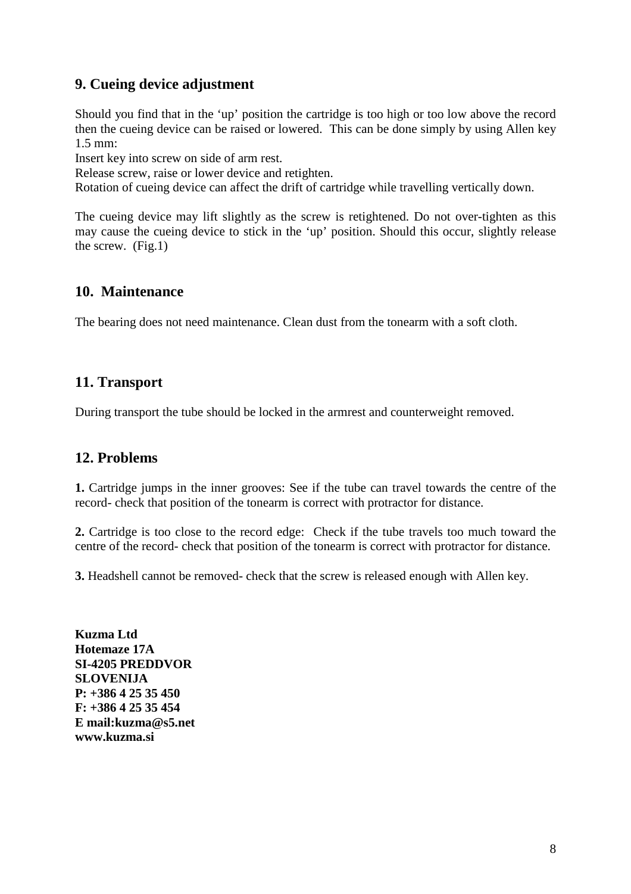# **9. Cueing device adjustment**

Should you find that in the 'up' position the cartridge is too high or too low above the record then the cueing device can be raised or lowered. This can be done simply by using Allen key 1.5 mm:

Insert key into screw on side of arm rest.

Release screw, raise or lower device and retighten.

Rotation of cueing device can affect the drift of cartridge while travelling vertically down.

The cueing device may lift slightly as the screw is retightened. Do not over-tighten as this may cause the cueing device to stick in the 'up' position. Should this occur, slightly release the screw. (Fig.1)

#### **10. Maintenance**

The bearing does not need maintenance. Clean dust from the tonearm with a soft cloth.

#### **11. Transport**

During transport the tube should be locked in the armrest and counterweight removed.

# **12. Problems**

**1.** Cartridge jumps in the inner grooves: See if the tube can travel towards the centre of the record- check that position of the tonearm is correct with protractor for distance.

**2.** Cartridge is too close to the record edge: Check if the tube travels too much toward the centre of the record- check that position of the tonearm is correct with protractor for distance.

**3.** Headshell cannot be removed- check that the screw is released enough with Allen key.

**Kuzma Ltd Hotemaze 17A SI-4205 PREDDVOR SLOVENIJA P: +386 4 25 35 450 F: +386 4 25 35 454 E mail:kuzma@s5.net www.kuzma.si**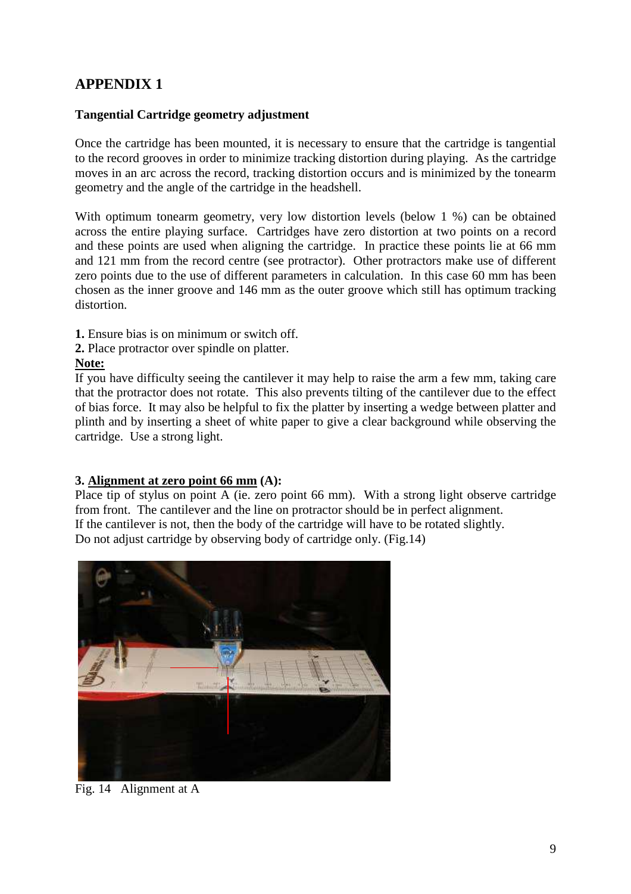# **APPENDIX 1**

#### **Tangential Cartridge geometry adjustment**

Once the cartridge has been mounted, it is necessary to ensure that the cartridge is tangential to the record grooves in order to minimize tracking distortion during playing. As the cartridge moves in an arc across the record, tracking distortion occurs and is minimized by the tonearm geometry and the angle of the cartridge in the headshell.

With optimum tonearm geometry, very low distortion levels (below 1 %) can be obtained across the entire playing surface. Cartridges have zero distortion at two points on a record and these points are used when aligning the cartridge. In practice these points lie at 66 mm and 121 mm from the record centre (see protractor). Other protractors make use of different zero points due to the use of different parameters in calculation. In this case 60 mm has been chosen as the inner groove and 146 mm as the outer groove which still has optimum tracking distortion.

- **1.** Ensure bias is on minimum or switch off.
- **2.** Place protractor over spindle on platter.

#### **Note:**

If you have difficulty seeing the cantilever it may help to raise the arm a few mm, taking care that the protractor does not rotate. This also prevents tilting of the cantilever due to the effect of bias force. It may also be helpful to fix the platter by inserting a wedge between platter and plinth and by inserting a sheet of white paper to give a clear background while observing the cartridge. Use a strong light.

#### **3. Alignment at zero point 66 mm (A):**

Place tip of stylus on point A (ie. zero point 66 mm). With a strong light observe cartridge from front. The cantilever and the line on protractor should be in perfect alignment. If the cantilever is not, then the body of the cartridge will have to be rotated slightly. Do not adjust cartridge by observing body of cartridge only. (Fig.14)



Fig. 14 Alignment at A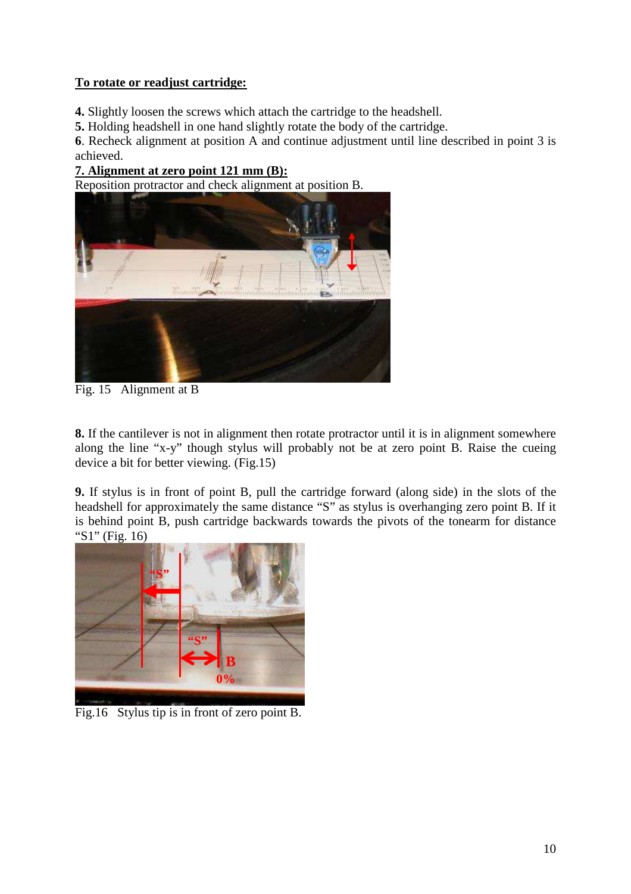#### **To rotate or readjust cartridge:**

**4.** Slightly loosen the screws which attach the cartridge to the headshell.

**5.** Holding headshell in one hand slightly rotate the body of the cartridge.

**6**. Recheck alignment at position A and continue adjustment until line described in point 3 is achieved.

#### **7. Alignment at zero point 121 mm (B):**

Reposition protractor and check alignment at position B.



Fig. 15 Alignment at B

**8.** If the cantilever is not in alignment then rotate protractor until it is in alignment somewhere along the line "x-y" though stylus will probably not be at zero point B. Raise the cueing device a bit for better viewing. (Fig.15)

**9.** If stylus is in front of point B, pull the cartridge forward (along side) in the slots of the headshell for approximately the same distance "S" as stylus is overhanging zero point B. If it is behind point B, push cartridge backwards towards the pivots of the tonearm for distance "S1" (Fig. 16)



Fig.16 Stylus tip is in front of zero point B.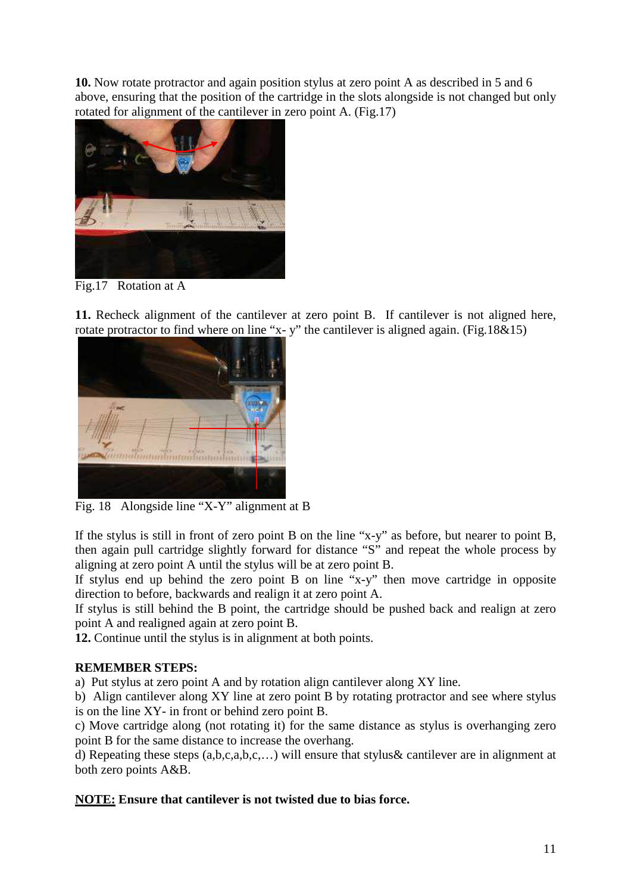**10.** Now rotate protractor and again position stylus at zero point A as described in 5 and 6 above, ensuring that the position of the cartridge in the slots alongside is not changed but only rotated for alignment of the cantilever in zero point A. (Fig.17)



Fig.17 Rotation at A

**11.** Recheck alignment of the cantilever at zero point B. If cantilever is not aligned here, rotate protractor to find where on line "x- y" the cantilever is aligned again. (Fig.18&15)



Fig. 18 Alongside line "X-Y" alignment at B

If the stylus is still in front of zero point B on the line "x-y" as before, but nearer to point B, then again pull cartridge slightly forward for distance "S" and repeat the whole process by aligning at zero point A until the stylus will be at zero point B.

If stylus end up behind the zero point B on line "x-y" then move cartridge in opposite direction to before, backwards and realign it at zero point A.

If stylus is still behind the B point, the cartridge should be pushed back and realign at zero point A and realigned again at zero point B.

**12.** Continue until the stylus is in alignment at both points.

#### **REMEMBER STEPS:**

a) Put stylus at zero point A and by rotation align cantilever along XY line.

b) Align cantilever along XY line at zero point B by rotating protractor and see where stylus is on the line XY- in front or behind zero point B.

c) Move cartridge along (not rotating it) for the same distance as stylus is overhanging zero point B for the same distance to increase the overhang.

d) Repeating these steps (a,b,c,a,b,c,…) will ensure that stylus& cantilever are in alignment at both zero points A&B.

#### **NOTE: Ensure that cantilever is not twisted due to bias force.**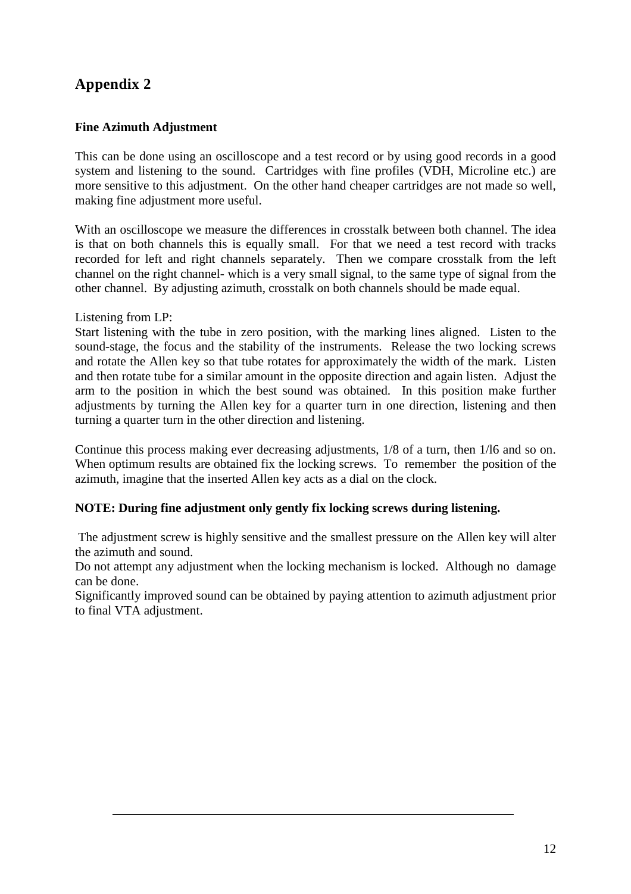# **Appendix 2**

#### **Fine Azimuth Adjustment**

This can be done using an oscilloscope and a test record or by using good records in a good system and listening to the sound. Cartridges with fine profiles (VDH, Microline etc.) are more sensitive to this adjustment. On the other hand cheaper cartridges are not made so well. making fine adjustment more useful.

With an oscilloscope we measure the differences in crosstalk between both channel. The idea is that on both channels this is equally small. For that we need a test record with tracks recorded for left and right channels separately. Then we compare crosstalk from the left channel on the right channel- which is a very small signal, to the same type of signal from the other channel. By adjusting azimuth, crosstalk on both channels should be made equal.

#### Listening from LP:

Start listening with the tube in zero position, with the marking lines aligned. Listen to the sound-stage, the focus and the stability of the instruments. Release the two locking screws and rotate the Allen key so that tube rotates for approximately the width of the mark. Listen and then rotate tube for a similar amount in the opposite direction and again listen. Adjust the arm to the position in which the best sound was obtained. In this position make further adjustments by turning the Allen key for a quarter turn in one direction, listening and then turning a quarter turn in the other direction and listening.

Continue this process making ever decreasing adjustments, 1/8 of a turn, then 1/l6 and so on. When optimum results are obtained fix the locking screws. To remember the position of the azimuth, imagine that the inserted Allen key acts as a dial on the clock.

#### **NOTE: During fine adjustment only gently fix locking screws during listening.**

 The adjustment screw is highly sensitive and the smallest pressure on the Allen key will alter the azimuth and sound.

Do not attempt any adjustment when the locking mechanism is locked. Although no damage can be done.

Significantly improved sound can be obtained by paying attention to azimuth adjustment prior to final VTA adjustment.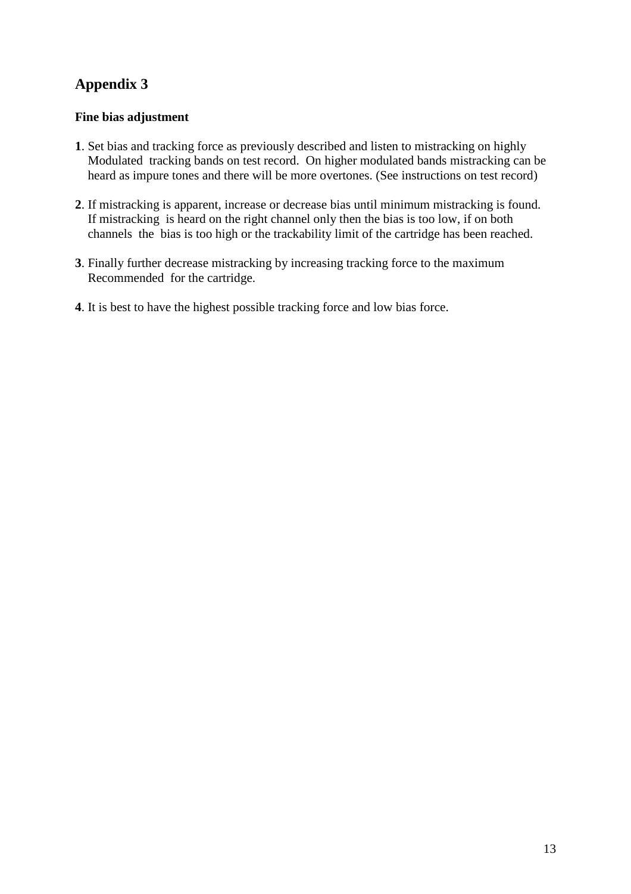# **Appendix 3**

#### **Fine bias adjustment**

- **1**. Set bias and tracking force as previously described and listen to mistracking on highly Modulated tracking bands on test record. On higher modulated bands mistracking can be heard as impure tones and there will be more overtones. (See instructions on test record)
- **2**. If mistracking is apparent, increase or decrease bias until minimum mistracking is found. If mistracking is heard on the right channel only then the bias is too low, if on both channels the bias is too high or the trackability limit of the cartridge has been reached.
- **3**. Finally further decrease mistracking by increasing tracking force to the maximum Recommended for the cartridge.
- **4**. It is best to have the highest possible tracking force and low bias force.